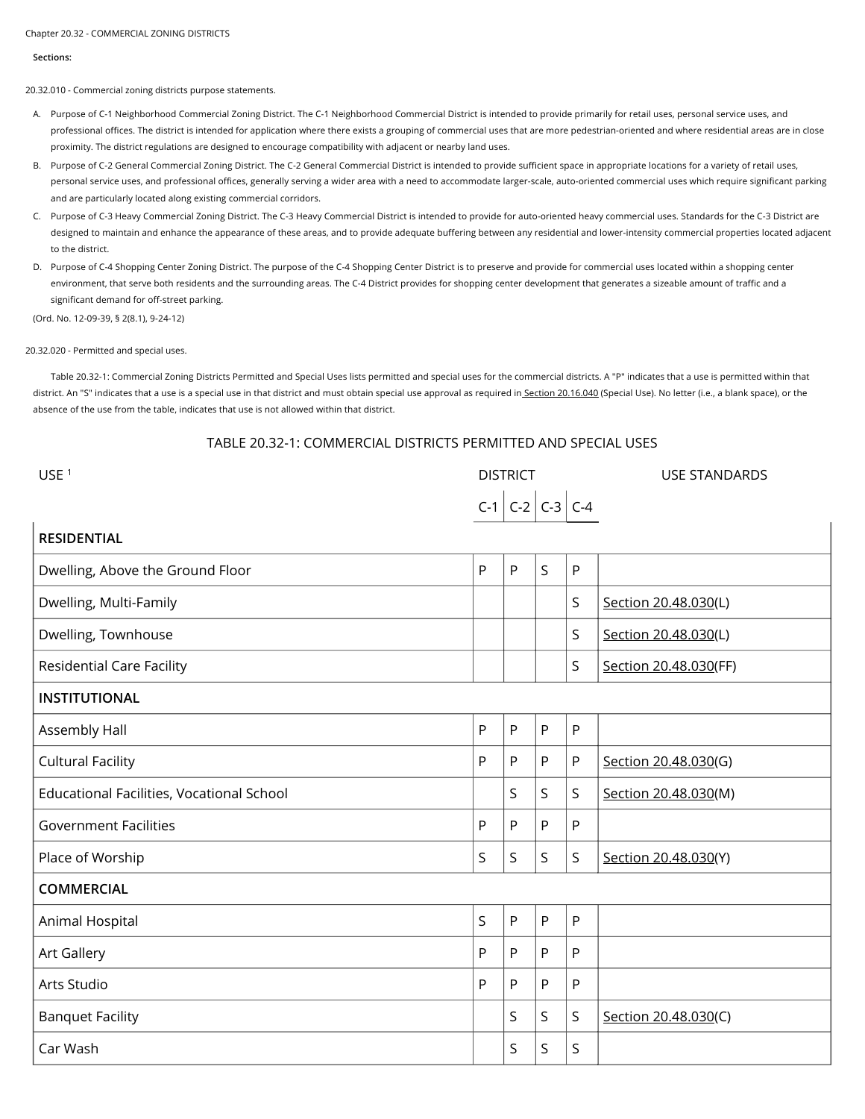#### Chapter 20.32 - COMMERCIAL ZONING DISTRICTS

#### **Sections:**

20.32.010 - Commercial zoning districts purpose statements.

- A. Purpose of C-1 Neighborhood Commercial Zoning District. The C-1 Neighborhood Commercial District is intended to provide primarily for retail uses, personal service uses, and professional offices. The district is intended for application where there exists a grouping of commercial uses that are more pedestrian-oriented and where residential areas are in close proximity. The district regulations are designed to encourage compatibility with adjacent or nearby land uses.
- B. Purpose of C-2 General Commercial Zoning District. The C-2 General Commercial District is intended to provide sufficient space in appropriate locations for a variety of retail uses, personal service uses, and professional offices, generally serving a wider area with a need to accommodate larger-scale, auto-oriented commercial uses which require significant parking and are particularly located along existing commercial corridors.
- C. Purpose of C-3 Heavy Commercial Zoning District. The C-3 Heavy Commercial District is intended to provide for auto-oriented heavy commercial uses. Standards for the C-3 District are designed to maintain and enhance the appearance of these areas, and to provide adequate buffering between any residential and lower-intensity commercial properties located adjacent to the district.
- D. Purpose of C-4 Shopping Center Zoning District. The purpose of the C-4 Shopping Center District is to preserve and provide for commercial uses located within a shopping center environment, that serve both residents and the surrounding areas. The C-4 District provides for shopping center development that generates a sizeable amount of traffic and a significant demand for off-street parking.

(Ord. No. 12-09-39, § 2(8.1), 9-24-12)

## 20.32.020 - Permitted and special uses.

Table 20.32-1: Commercial Zoning Districts Permitted and Special Uses lists permitted and special uses for the commercial districts. A "P" indicates that a use is permitted within that district. An "S" indicates that a use is a special use in that district and must obtain special use approval as required in Section 20.16.040 (Special Use). No letter (i.e., a blank space), or the absence of the use from the table, indicates that use is not allowed within that district.

# TABLE 20.32-1: COMMERCIAL DISTRICTS PERMITTED AND SPECIAL USES

| USE <sup>1</sup>                          | <b>DISTRICT</b> |                         |              |   | <b>USE STANDARDS</b>  |  |  |  |
|-------------------------------------------|-----------------|-------------------------|--------------|---|-----------------------|--|--|--|
|                                           |                 | $C-1$ $C-2$ $C-3$ $C-4$ |              |   |                       |  |  |  |
| <b>RESIDENTIAL</b>                        |                 |                         |              |   |                       |  |  |  |
| Dwelling, Above the Ground Floor          | P               | P                       | $\mathsf{S}$ | P |                       |  |  |  |
| Dwelling, Multi-Family                    |                 |                         |              | S | Section 20.48.030(L)  |  |  |  |
| Dwelling, Townhouse                       |                 |                         |              | S | Section 20.48.030(L)  |  |  |  |
| <b>Residential Care Facility</b>          |                 |                         |              | S | Section 20.48.030(FF) |  |  |  |
| <b>INSTITUTIONAL</b>                      |                 |                         |              |   |                       |  |  |  |
| Assembly Hall                             | P               | P                       | P            | P |                       |  |  |  |
| <b>Cultural Facility</b>                  | P               | P                       | P            | P | Section 20.48.030(G)  |  |  |  |
| Educational Facilities, Vocational School |                 | S                       | S            | S | Section 20.48.030(M)  |  |  |  |
| <b>Government Facilities</b>              | P               | P                       | P            | P |                       |  |  |  |
| Place of Worship                          | S               | S                       | S            | S | Section 20.48.030(Y)  |  |  |  |
| <b>COMMERCIAL</b>                         |                 |                         |              |   |                       |  |  |  |
| Animal Hospital                           | S               | P                       | P            | P |                       |  |  |  |
| Art Gallery                               | P               | P                       | P            | P |                       |  |  |  |
| Arts Studio                               | P               | P                       | P            | P |                       |  |  |  |
| <b>Banquet Facility</b>                   |                 | S                       | S            | S | Section 20.48.030(C)  |  |  |  |
| Car Wash                                  |                 | S                       | S            | S |                       |  |  |  |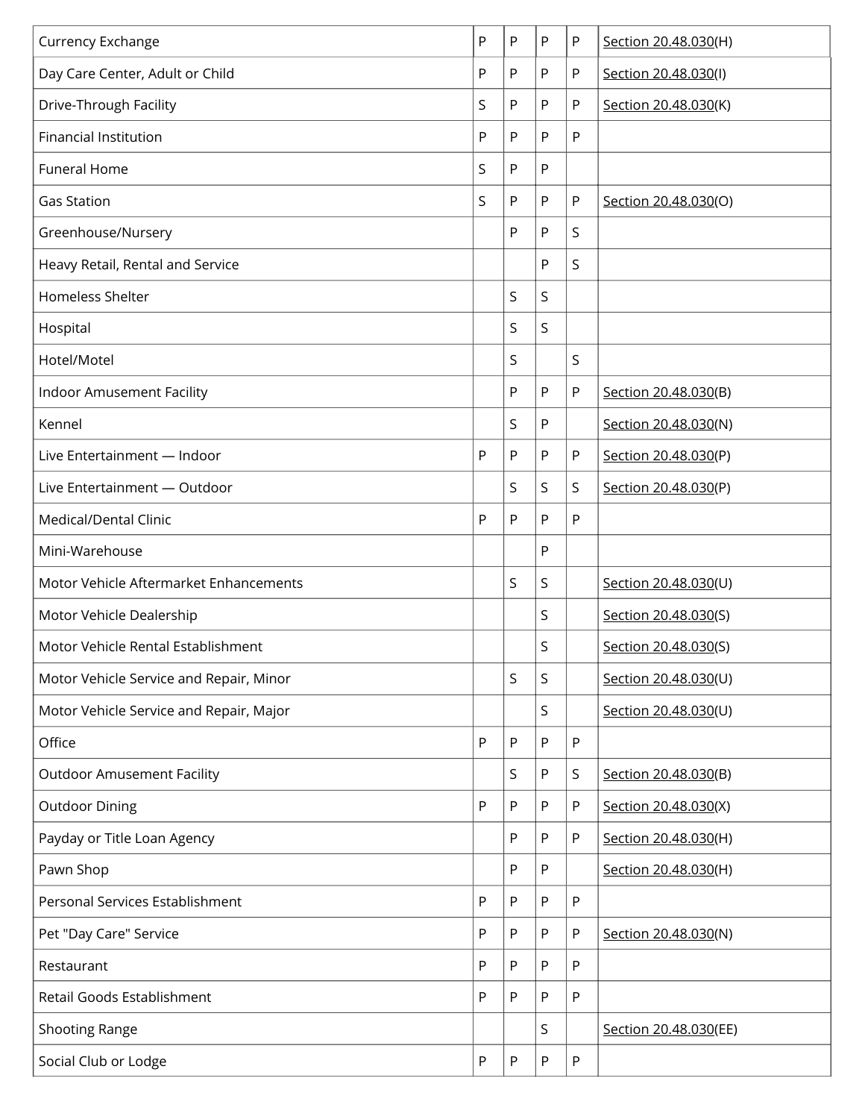| Currency Exchange                       | P | P | P         | P | Section 20.48.030(H)  |
|-----------------------------------------|---|---|-----------|---|-----------------------|
| Day Care Center, Adult or Child         | P | P | P         | P | Section 20.48.030(I)  |
| Drive-Through Facility                  | S | P | P         | P | Section 20.48.030(K)  |
| <b>Financial Institution</b>            | P | P | P         | P |                       |
| <b>Funeral Home</b>                     | S | P | ${\sf P}$ |   |                       |
| <b>Gas Station</b>                      | S | P | P         | P | Section 20.48.030(O)  |
| Greenhouse/Nursery                      |   | P | P         | S |                       |
| Heavy Retail, Rental and Service        |   |   | P         | S |                       |
| Homeless Shelter                        |   | S | S         |   |                       |
| Hospital                                |   | S | S         |   |                       |
| Hotel/Motel                             |   | S |           | S |                       |
| Indoor Amusement Facility               |   | P | ${\sf P}$ | P | Section 20.48.030(B)  |
| Kennel                                  |   | S | P         |   | Section 20.48.030(N)  |
| Live Entertainment - Indoor             | P | P | Ρ         | P | Section 20.48.030(P)  |
| Live Entertainment - Outdoor            |   | S | S         | S | Section 20.48.030(P)  |
| Medical/Dental Clinic                   | P | P | P         | P |                       |
| Mini-Warehouse                          |   |   | P         |   |                       |
| Motor Vehicle Aftermarket Enhancements  |   | S | S         |   | Section 20.48.030(U)  |
| Motor Vehicle Dealership                |   |   | S         |   | Section 20.48.030(S)  |
| Motor Vehicle Rental Establishment      |   |   | S         |   | Section 20.48.030(S)  |
| Motor Vehicle Service and Repair, Minor |   | S | S         |   | Section 20.48.030(U)  |
| Motor Vehicle Service and Repair, Major |   |   | S         |   | Section 20.48.030(U)  |
| Office                                  | P | Ρ | P         | P |                       |
| <b>Outdoor Amusement Facility</b>       |   | S | ${\sf P}$ | S | Section 20.48.030(B)  |
| <b>Outdoor Dining</b>                   | P | Ρ | P         | P | Section 20.48.030(X)  |
| Payday or Title Loan Agency             |   | Ρ | P         | P | Section 20.48.030(H)  |
| Pawn Shop                               |   | P | P         |   | Section 20.48.030(H)  |
| Personal Services Establishment         | P | P | P         | P |                       |
| Pet "Day Care" Service                  | P | P | P         | P | Section 20.48.030(N)  |
| Restaurant                              | P | P | P         | P |                       |
| Retail Goods Establishment              | P | P | P         | P |                       |
| <b>Shooting Range</b>                   |   |   | S         |   | Section 20.48.030(EE) |
| Social Club or Lodge                    | P | P | P         | P |                       |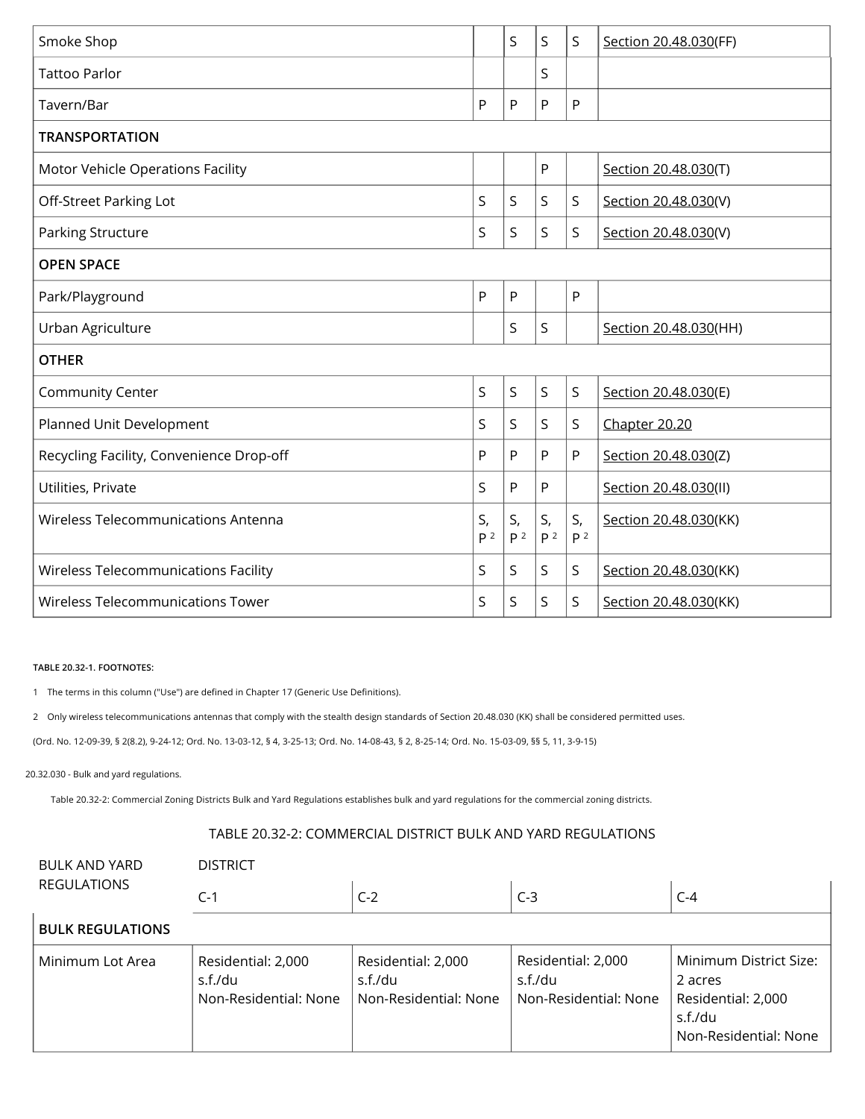| Smoke Shop                               |                      | S                    | S                    | S                    | Section 20.48.030(FF) |  |  |
|------------------------------------------|----------------------|----------------------|----------------------|----------------------|-----------------------|--|--|
| <b>Tattoo Parlor</b>                     |                      |                      | S                    |                      |                       |  |  |
| Tavern/Bar                               | P                    | P                    | P                    | P                    |                       |  |  |
| <b>TRANSPORTATION</b>                    |                      |                      |                      |                      |                       |  |  |
| Motor Vehicle Operations Facility        |                      |                      | P                    |                      | Section 20.48.030(T)  |  |  |
| Off-Street Parking Lot                   | S                    | S                    | S                    | S                    | Section 20.48.030(V)  |  |  |
| Parking Structure                        | S                    | S                    | S                    | S                    | Section 20.48.030(V)  |  |  |
| <b>OPEN SPACE</b>                        |                      |                      |                      |                      |                       |  |  |
| Park/Playground                          | P                    | P                    |                      | P                    |                       |  |  |
| Urban Agriculture                        |                      | S                    | S                    |                      | Section 20.48.030(HH) |  |  |
| <b>OTHER</b>                             |                      |                      |                      |                      |                       |  |  |
| Community Center                         | S                    | S                    | S                    | S                    | Section 20.48.030(E)  |  |  |
| Planned Unit Development                 | S                    | S                    | S                    | S                    | Chapter 20.20         |  |  |
| Recycling Facility, Convenience Drop-off | P                    | P                    | P                    | P                    | Section 20.48.030(Z)  |  |  |
| Utilities, Private                       | S                    | P                    | P                    |                      | Section 20.48.030(II) |  |  |
| Wireless Telecommunications Antenna      | S,<br>P <sup>2</sup> | S,<br>P <sup>2</sup> | S,<br>P <sup>2</sup> | S,<br>P <sup>2</sup> | Section 20.48.030(KK) |  |  |
| Wireless Telecommunications Facility     | S                    | S                    | S                    | S                    | Section 20.48.030(KK) |  |  |
| <b>Wireless Telecommunications Tower</b> | S                    | S                    | S                    | S                    | Section 20.48.030(KK) |  |  |

## **TABLE 20.32-1. FOOTNOTES:**

1 The terms in this column ("Use") are defined in Chapter 17 (Generic Use Definitions).

2 Only wireless telecommunications antennas that comply with the stealth design standards of Section 20.48.030 (KK) shall be considered permitted uses.

(Ord. No. 12-09-39, § 2(8.2), 9-24-12; Ord. No. 13-03-12, § 4, 3-25-13; Ord. No. 14-08-43, § 2, 8-25-14; Ord. No. 15-03-09, §§ 5, 11, 3-9-15)

## 20.32.030 - Bulk and yard regulations.

Table 20.32-2: Commercial Zoning Districts Bulk and Yard Regulations establishes bulk and yard regulations for the commercial zoning districts.

# TABLE 20.32-2: COMMERCIAL DISTRICT BULK AND YARD REGULATIONS

| <b>BULK AND YARD</b><br><b>REGULATIONS</b> | <b>DISTRICT</b>                                        |                                                        |                                                        |                                                                                             |  |  |  |  |  |
|--------------------------------------------|--------------------------------------------------------|--------------------------------------------------------|--------------------------------------------------------|---------------------------------------------------------------------------------------------|--|--|--|--|--|
|                                            | $C-1$                                                  | $C-2$                                                  | $C-3$                                                  | $C-4$                                                                                       |  |  |  |  |  |
| <b>BULK REGULATIONS</b>                    |                                                        |                                                        |                                                        |                                                                                             |  |  |  |  |  |
| Minimum Lot Area                           | Residential: 2,000<br>s.f./du<br>Non-Residential: None | Residential: 2,000<br>s.f./du<br>Non-Residential: None | Residential: 2,000<br>s.f./du<br>Non-Residential: None | Minimum District Size:<br>2 acres<br>Residential: 2,000<br>s.f./du<br>Non-Residential: None |  |  |  |  |  |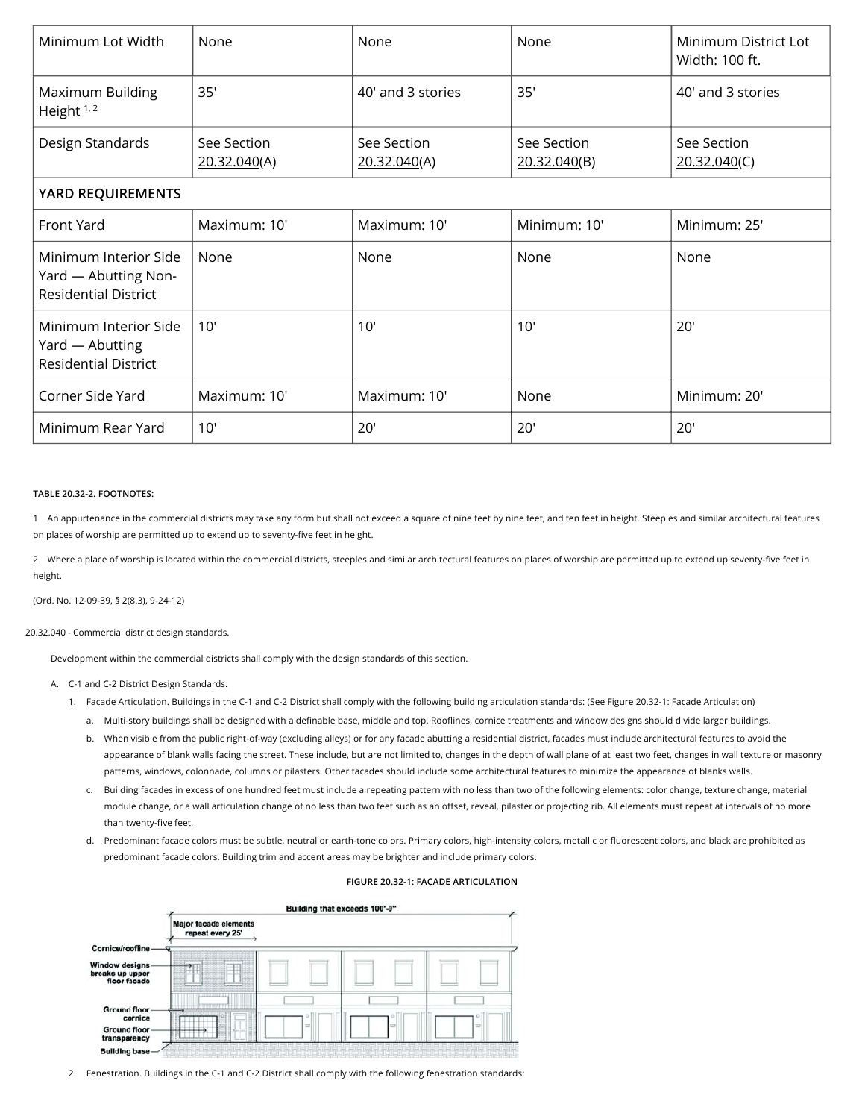| Minimum Lot Width                                                            | None                        | None                        | None                        | Minimum District Lot<br>Width: 100 ft. |  |  |  |  |  |
|------------------------------------------------------------------------------|-----------------------------|-----------------------------|-----------------------------|----------------------------------------|--|--|--|--|--|
| Maximum Building<br>Height $1, 2$                                            | 35'                         | 40' and 3 stories           | 35'                         | 40' and 3 stories                      |  |  |  |  |  |
| Design Standards                                                             | See Section<br>20.32.040(A) | See Section<br>20.32.040(A) | See Section<br>20.32.040(B) | See Section<br>20.32.040(C)            |  |  |  |  |  |
| YARD REQUIREMENTS                                                            |                             |                             |                             |                                        |  |  |  |  |  |
| Front Yard                                                                   | Maximum: 10'                | Maximum: 10'                | Minimum: 10'                | Minimum: 25'                           |  |  |  |  |  |
| Minimum Interior Side<br>Yard - Abutting Non-<br><b>Residential District</b> | None                        | None                        | None                        | None                                   |  |  |  |  |  |
| Minimum Interior Side<br>Yard - Abutting<br><b>Residential District</b>      | 10'                         | 10'                         | 10'                         | 20'                                    |  |  |  |  |  |
| Corner Side Yard                                                             | Maximum: 10'                | Maximum: 10'                | None                        | Minimum: 20'                           |  |  |  |  |  |
| Minimum Rear Yard                                                            | 10'                         | 20'                         | 20'                         | 20'                                    |  |  |  |  |  |

#### **TABLE 20.32-2. FOOTNOTES:**

1 An appurtenance in the commercial districts may take any form but shall not exceed a square of nine feet by nine feet, and ten feet in height. Steeples and similar architectural features on places of worship are permitted up to extend up to seventy-five feet in height.

2 Where a place of worship is located within the commercial districts, steeples and similar architectural features on places of worship are permitted up to extend up seventy-five feet in height.

(Ord. No. 12-09-39, § 2(8.3), 9-24-12)

#### 20.32.040 - Commercial district design standards.

Development within the commercial districts shall comply with the design standards of this section.

#### A. C-1 and C-2 District Design Standards.

- 1. Facade Articulation. Buildings in the C-1 and C-2 District shall comply with the following building articulation standards: (See Figure 20.32-1: Facade Articulation)
	- a. Multi-story buildings shall be designed with a definable base, middle and top. Rooflines, cornice treatments and window designs should divide larger buildings.
	- b. When visible from the public right-of-way (excluding alleys) or for any facade abutting a residential district, facades must include architectural features to avoid the appearance of blank walls facing the street. These include, but are not limited to, changes in the depth of wall plane of at least two feet, changes in wall texture or masonry patterns, windows, colonnade, columns or pilasters. Other facades should include some architectural features to minimize the appearance of blanks walls.
	- c. Building facades in excess of one hundred feet must include a repeating pattern with no less than two of the following elements: color change, texture change, material module change, or a wall articulation change of no less than two feet such as an offset, reveal, pilaster or projecting rib. All elements must repeat at intervals of no more than twenty-five feet.
	- d. Predominant facade colors must be subtle, neutral or earth-tone colors. Primary colors, high-intensity colors, metallic or fluorescent colors, and black are prohibited as predominant facade colors. Building trim and accent areas may be brighter and include primary colors.



#### **FIGURE 20.32-1: FACADE ARTICULATION**

2. Fenestration. Buildings in the C-1 and C-2 District shall comply with the following fenestration standards: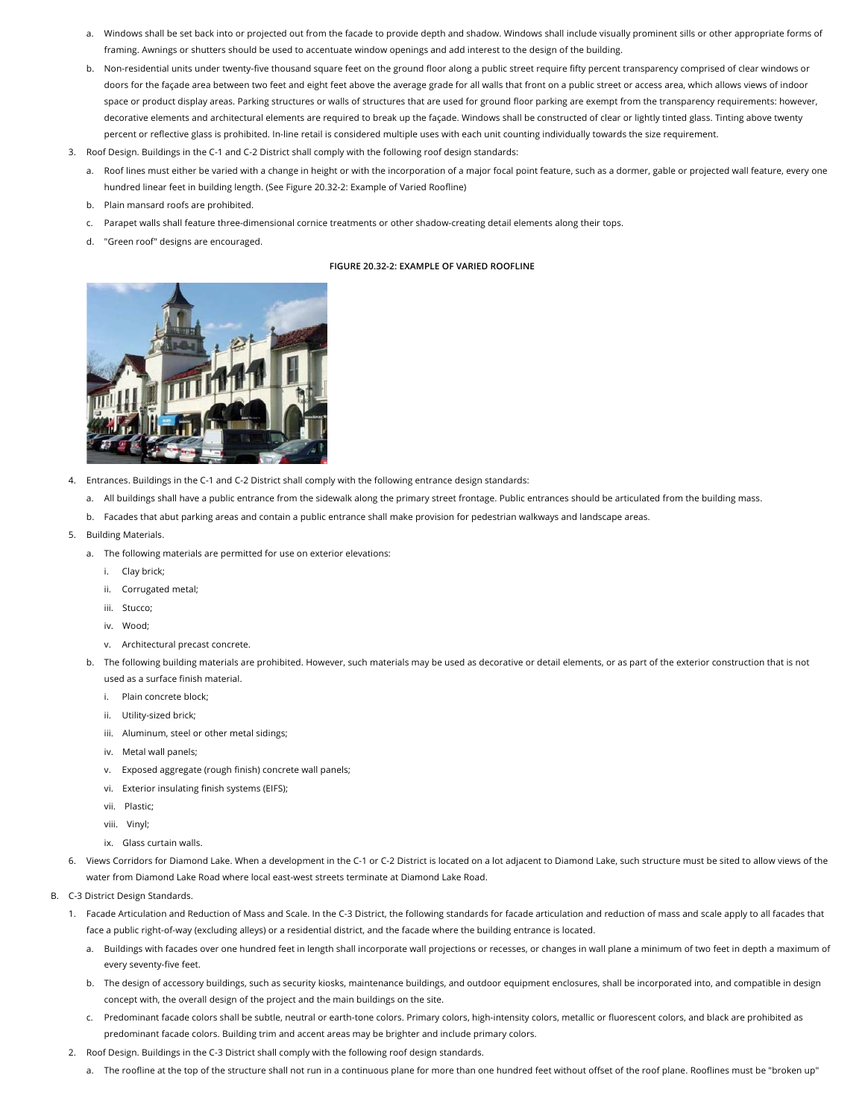- a. Windows shall be set back into or projected out from the facade to provide depth and shadow. Windows shall include visually prominent sills or other appropriate forms of framing. Awnings or shutters should be used to accentuate window openings and add interest to the design of the building.
- b. Non-residential units under twenty-five thousand square feet on the ground floor along a public street require fifty percent transparency comprised of clear windows or doors for the façade area between two feet and eight feet above the average grade for all walls that front on a public street or access area, which allows views of indoor space or product display areas. Parking structures or walls of structures that are used for ground floor parking are exempt from the transparency requirements: however, decorative elements and architectural elements are required to break up the façade. Windows shall be constructed of clear or lightly tinted glass. Tinting above twenty percent or reflective glass is prohibited. In-line retail is considered multiple uses with each unit counting individually towards the size requirement.
- 3. Roof Design. Buildings in the C-1 and C-2 District shall comply with the following roof design standards:
	- a. Roof lines must either be varied with a change in height or with the incorporation of a major focal point feature, such as a dormer, gable or projected wall feature, every one hundred linear feet in building length. (See Figure 20.32-2: Example of Varied Roofline)
	- b. Plain mansard roofs are prohibited.
	- c. Parapet walls shall feature three-dimensional cornice treatments or other shadow-creating detail elements along their tops.
	- d. "Green roof" designs are encouraged.

## **FIGURE 20.32-2: EXAMPLE OF VARIED ROOFLINE**



- 4. Entrances. Buildings in the C-1 and C-2 District shall comply with the following entrance design standards:
	- a. All buildings shall have a public entrance from the sidewalk along the primary street frontage. Public entrances should be articulated from the building mass.
	- b. Facades that abut parking areas and contain a public entrance shall make provision for pedestrian walkways and landscape areas.
- 5. Building Materials.
	- a. The following materials are permitted for use on exterior elevations:
		- i. Clay brick;
		- ii. Corrugated metal;
		- iii. Stucco;
		- iv. Wood;
		- v. Architectural precast concrete.
	- b. The following building materials are prohibited. However, such materials may be used as decorative or detail elements, or as part of the exterior construction that is not used as a surface finish material.
		- i. Plain concrete block;
		- ii. Utility-sized brick;
		- iii. Aluminum, steel or other metal sidings;
		- iv. Metal wall panels;
		- v. Exposed aggregate (rough finish) concrete wall panels;
		- vi. Exterior insulating finish systems (EIFS);
		- vii. Plastic;
		- viii. Vinyl;
		- ix. Glass curtain walls.
- 6. Views Corridors for Diamond Lake. When a development in the C-1 or C-2 District is located on a lot adjacent to Diamond Lake, such structure must be sited to allow views of the water from Diamond Lake Road where local east-west streets terminate at Diamond Lake Road.
- B. C-3 District Design Standards.
	- 1. Facade Articulation and Reduction of Mass and Scale. In the C-3 District, the following standards for facade articulation and reduction of mass and scale apply to all facades that face a public right-of-way (excluding alleys) or a residential district, and the facade where the building entrance is located.
		- a. Buildings with facades over one hundred feet in length shall incorporate wall projections or recesses, or changes in wall plane a minimum of two feet in depth a maximum of every seventy-five feet.
		- b. The design of accessory buildings, such as security kiosks, maintenance buildings, and outdoor equipment enclosures, shall be incorporated into, and compatible in design concept with, the overall design of the project and the main buildings on the site.
		- c. Predominant facade colors shall be subtle, neutral or earth-tone colors. Primary colors, high-intensity colors, metallic or fluorescent colors, and black are prohibited as predominant facade colors. Building trim and accent areas may be brighter and include primary colors.
	- 2. Roof Design. Buildings in the C-3 District shall comply with the following roof design standards.
		- a. The roofline at the top of the structure shall not run in a continuous plane for more than one hundred feet without offset of the roof plane. Rooflines must be "broken up"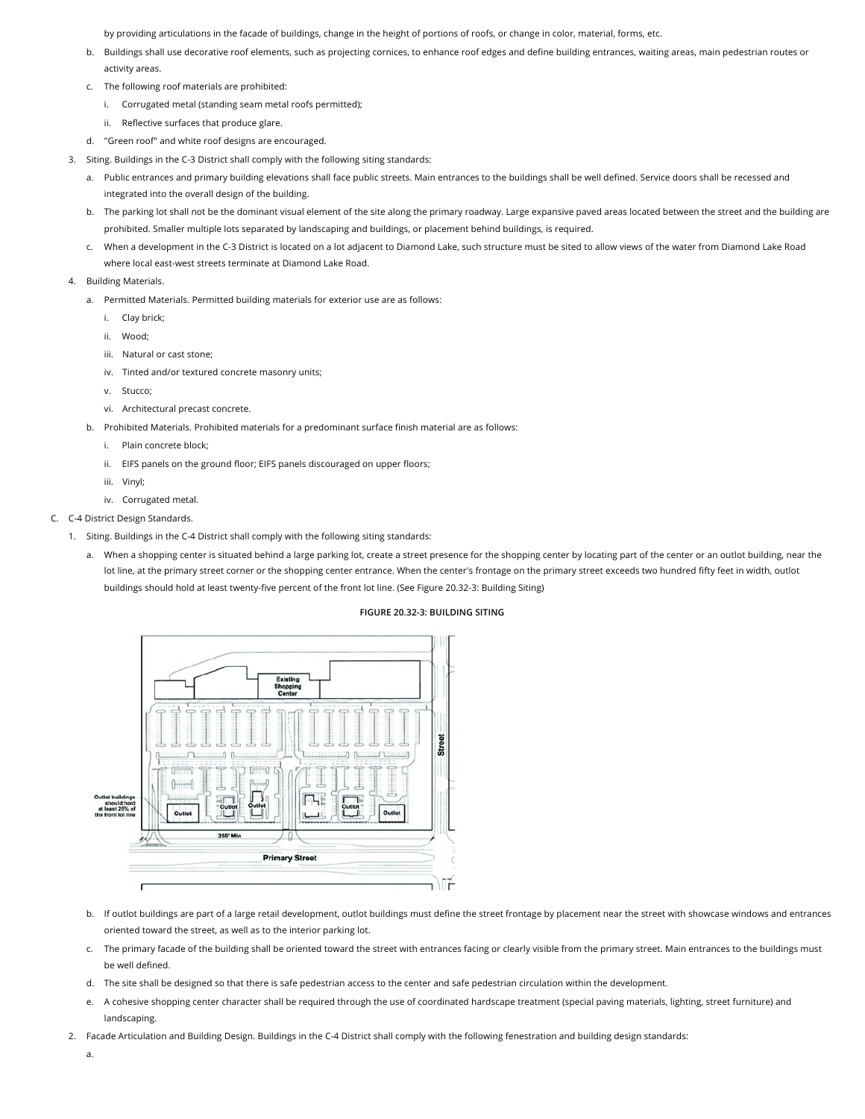by providing articulations in the facade of buildings, change in the height of portions of roofs, or change in color, material, forms, etc.

- b. Buildings shall use decorative roof elements, such as projecting cornices, to enhance roof edges and define building entrances, waiting areas, main pedestrian routes or activity areas.
- c. The following roof materials are prohibited:
	- i. Corrugated metal (standing seam metal roofs permitted);
	- ii. Reflective surfaces that produce glare.
- d. "Green roof" and white roof designs are encouraged.
- 3. Siting. Buildings in the C-3 District shall comply with the following siting standards:
	- a. Public entrances and primary building elevations shall face public streets. Main entrances to the buildings shall be well defined. Service doors shall be recessed and integrated into the overall design of the building.
	- b. The parking lot shall not be the dominant visual element of the site along the primary roadway. Large expansive paved areas located between the street and the building are prohibited. Smaller multiple lots separated by landscaping and buildings, or placement behind buildings, is required.
	- c. When a development in the C-3 District is located on a lot adjacent to Diamond Lake, such structure must be sited to allow views of the water from Diamond Lake Road where local east-west streets terminate at Diamond Lake Road.
- 4. Building Materials.
	- a. Permitted Materials. Permitted building materials for exterior use are as follows:
		- i. Clay brick;
		- ii. Wood;
		- iii. Natural or cast stone;
		- iv. Tinted and/or textured concrete masonry units;
		- v. Stucco;
		- vi. Architectural precast concrete.
	- b. Prohibited Materials. Prohibited materials for a predominant surface finish material are as follows:
		- i. Plain concrete block;
		- ii. EIFS panels on the ground floor; EIFS panels discouraged on upper floors;
		- iii. Vinyl;
		- iv. Corrugated metal.

#### C. C-4 District Design Standards.

- 1. Siting. Buildings in the C-4 District shall comply with the following siting standards:
	- a. When a shopping center is situated behind a large parking lot, create a street presence for the shopping center by locating part of the center or an outlot building, near the lot line, at the primary street corner or the shopping center entrance. When the center's frontage on the primary street exceeds two hundred fifty feet in width, outlot buildings should hold at least twenty-five percent of the front lot line. (See Figure 20.32-3: Building Siting)

### **FIGURE 20.32-3: BUILDING SITING**



- b. If outlot buildings are part of a large retail development, outlot buildings must define the street frontage by placement near the street with showcase windows and entrances oriented toward the street, as well as to the interior parking lot.
- c. The primary facade of the building shall be oriented toward the street with entrances facing or clearly visible from the primary street. Main entrances to the buildings must be well defined.
- d. The site shall be designed so that there is safe pedestrian access to the center and safe pedestrian circulation within the development.
- e. A cohesive shopping center character shall be required through the use of coordinated hardscape treatment (special paving materials, lighting, street furniture) and landscaping.
- 2. Facade Articulation and Building Design. Buildings in the C-4 District shall comply with the following fenestration and building design standards:
	- a.